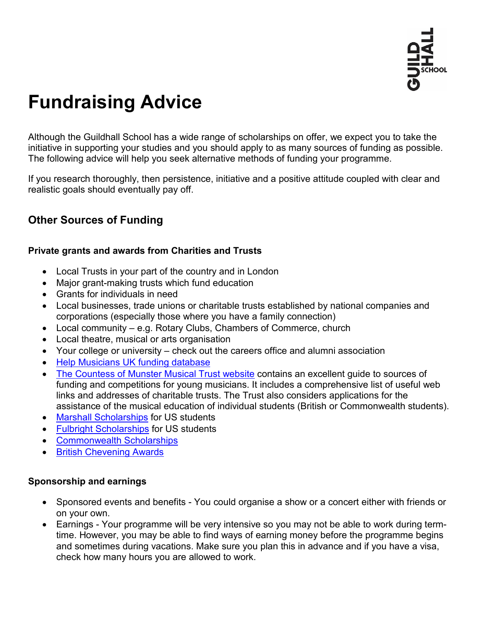

# **Fundraising Advice**

Although the Guildhall School has a wide range of scholarships on offer, we expect you to take the initiative in supporting your studies and you should apply to as many sources of funding as possible. The following advice will help you seek alternative methods of funding your programme.

If you research thoroughly, then persistence, initiative and a positive attitude coupled with clear and realistic goals should eventually pay off.

## **Other Sources of Funding**

#### **Private grants and awards from Charities and Trusts**

- Local Trusts in your part of the country and in London
- Major grant-making trusts which fund education
- Grants for individuals in need
- Local businesses, trade unions or charitable trusts established by national companies and corporations (especially those where you have a family connection)
- Local community e.g. Rotary Clubs, Chambers of Commerce, church
- Local theatre, musical or arts organisation
- Your college or university check out the careers office and alumni association
- [Help Musicians UK funding database](http://www.helpmusicians.org.uk/)
- [The Countess of Munster Musical Trust website](http://www.munstertrust.org.uk/) contains an excellent guide to sources of funding and competitions for young musicians. It includes a comprehensive list of useful web links and addresses of charitable trusts. The Trust also considers applications for the assistance of the musical education of individual students (British or Commonwealth students).
- [Marshall Scholarships](http://www.marshallscholarship.org/) for US students
- [Fulbright Scholarships](http://www.cies.org/) for US students
- [Commonwealth Scholarships](http://cscuk.dfid.gov.uk/)
- [British Chevening Awards](http://www.chevening.org/)

#### **Sponsorship and earnings**

- Sponsored events and benefits You could organise a show or a concert either with friends or on your own.
- Earnings Your programme will be very intensive so you may not be able to work during termtime. However, you may be able to find ways of earning money before the programme begins and sometimes during vacations. Make sure you plan this in advance and if you have a visa, check how many hours you are allowed to work.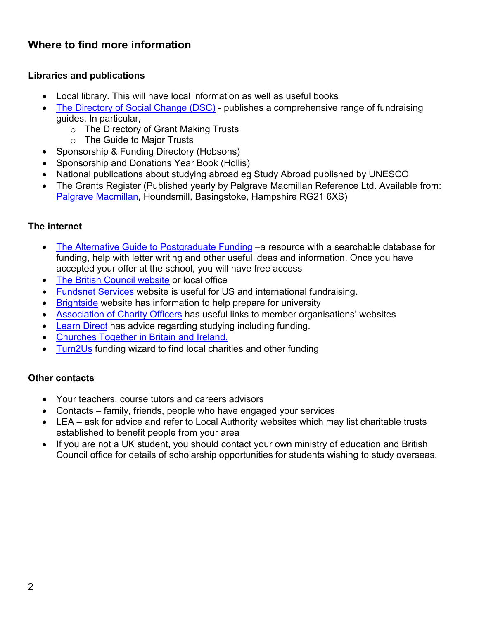# **Where to find more information**

#### **Libraries and publications**

- Local library. This will have local information as well as useful books
- [The Directory of Social Change \(DSC\)](http://www.dsc.org.uk/) publishes a comprehensive range of fundraising guides. In particular,
	- o The Directory of Grant Making Trusts
	- o The Guide to Major Trusts
- Sponsorship & Funding Directory (Hobsons)
- Sponsorship and Donations Year Book (Hollis)
- National publications about studying abroad eg Study Abroad published by UNESCO
- The Grants Register (Published vearly by Palgrave Macmillan Reference Ltd. Available from: [Palgrave Macmillan,](http://www.palgrave.com/) Houndsmill, Basingstoke, Hampshire RG21 6XS)

## **The internet**

- [The Alternative Guide to Postgraduate Funding](http://www.postgraduate-funding.com/) a resource with a searchable database for funding, help with letter writing and other useful ideas and information. Once you have accepted your offer at the school, you will have free access
- [The British Council website](https://study-uk.britishcouncil.org/) or local office
- [Fundsnet Services](http://www.fundsnetservices.com/) website is useful for US and international fundraising.
- [Brightside](http://www.thebrightsidetrust.org/) website has information to help prepare for university
- [Association of Charity Officers](http://www.aco.uk.net/) has useful links to member organisations' websites
- [Learn Direct](http://www.learndirect.com/) has advice regarding studying including funding.
- [Churches Together in Britain and Ireland.](http://www.ctbi.org.uk/)
- [Turn2Us](http://www.turn2us.org.uk/) funding wizard to find local charities and other funding

#### **Other contacts**

- Your teachers, course tutors and careers advisors
- Contacts family, friends, people who have engaged your services
- LEA ask for advice and refer to Local Authority websites which may list charitable trusts established to benefit people from your area
- If you are not a UK student, you should contact your own ministry of education and British Council office for details of scholarship opportunities for students wishing to study overseas.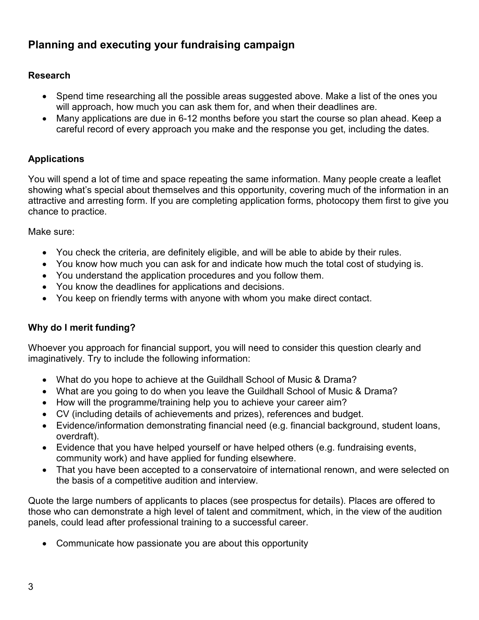# **Planning and executing your fundraising campaign**

## **Research**

- Spend time researching all the possible areas suggested above. Make a list of the ones you will approach, how much you can ask them for, and when their deadlines are.
- Many applications are due in 6-12 months before you start the course so plan ahead. Keep a careful record of every approach you make and the response you get, including the dates.

## **Applications**

You will spend a lot of time and space repeating the same information. Many people create a leaflet showing what's special about themselves and this opportunity, covering much of the information in an attractive and arresting form. If you are completing application forms, photocopy them first to give you chance to practice.

Make sure:

- You check the criteria, are definitely eligible, and will be able to abide by their rules.
- You know how much you can ask for and indicate how much the total cost of studying is.
- You understand the application procedures and you follow them.
- You know the deadlines for applications and decisions.
- You keep on friendly terms with anyone with whom you make direct contact.

#### **Why do I merit funding?**

Whoever you approach for financial support, you will need to consider this question clearly and imaginatively. Try to include the following information:

- What do you hope to achieve at the Guildhall School of Music & Drama?
- What are you going to do when you leave the Guildhall School of Music & Drama?
- How will the programme/training help you to achieve your career aim?
- CV (including details of achievements and prizes), references and budget.
- Evidence/information demonstrating financial need (e.g. financial background, student loans, overdraft).
- Evidence that you have helped yourself or have helped others (e.g. fundraising events, community work) and have applied for funding elsewhere.
- That you have been accepted to a conservatoire of international renown, and were selected on the basis of a competitive audition and interview.

Quote the large numbers of applicants to places (see prospectus for details). Places are offered to those who can demonstrate a high level of talent and commitment, which, in the view of the audition panels, could lead after professional training to a successful career.

• Communicate how passionate you are about this opportunity